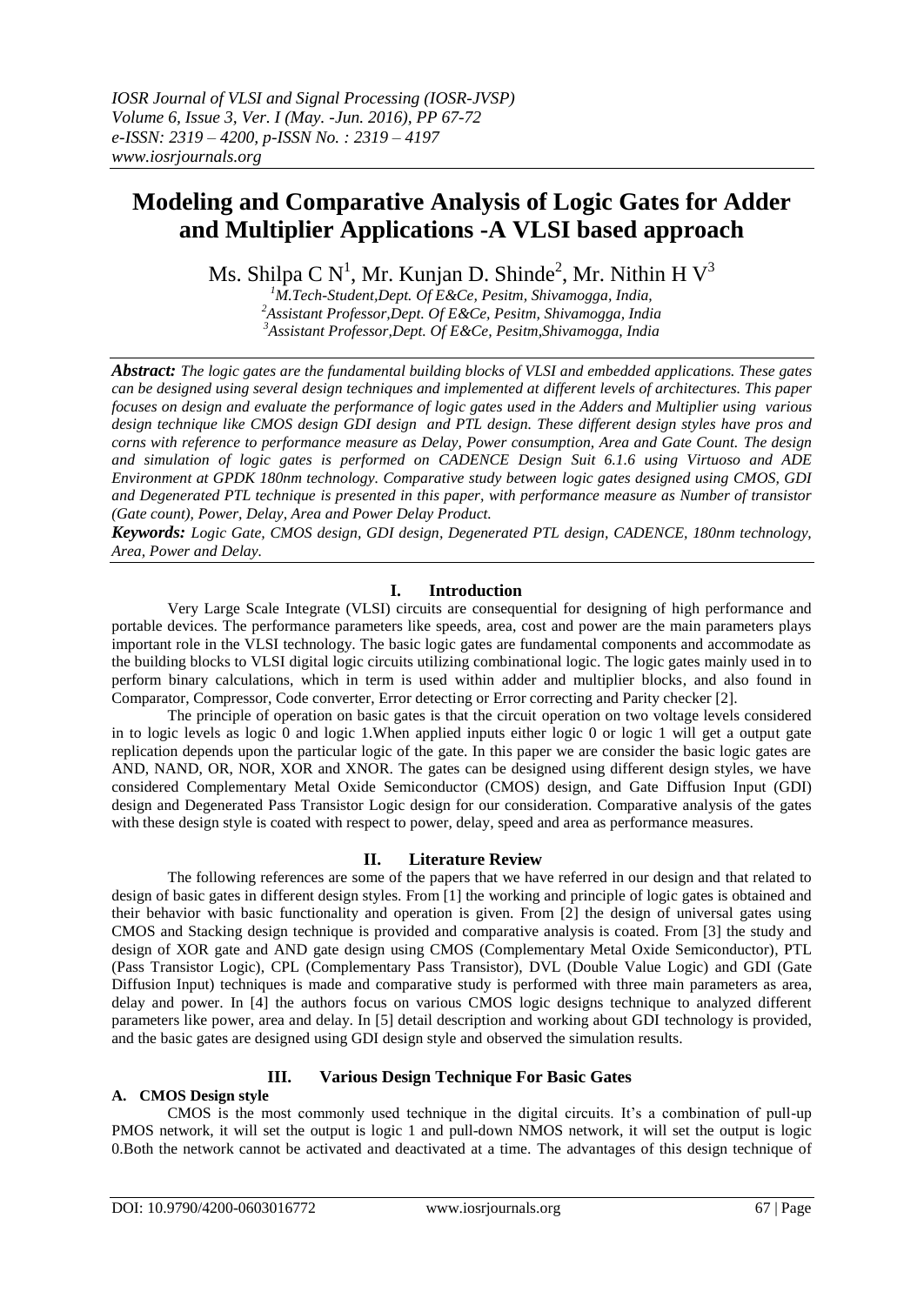# **Modeling and Comparative Analysis of Logic Gates for Adder and Multiplier Applications -A VLSI based approach**

Ms. Shilpa C  $N^1$ , Mr. Kunjan D. Shinde<sup>2</sup>, Mr. Nithin H  $V^3$ 

*<sup>1</sup>M.Tech-Student,Dept. Of E&Ce, Pesitm, Shivamogga, India, <sup>2</sup>Assistant Professor,Dept. Of E&Ce, Pesitm, Shivamogga, India <sup>3</sup>Assistant Professor,Dept. Of E&Ce, Pesitm,Shivamogga, India*

*Abstract: The logic gates are the fundamental building blocks of VLSI and embedded applications. These gates can be designed using several design techniques and implemented at different levels of architectures. This paper focuses on design and evaluate the performance of logic gates used in the Adders and Multiplier using various design technique like CMOS design GDI design and PTL design. These different design styles have pros and corns with reference to performance measure as Delay, Power consumption, Area and Gate Count. The design and simulation of logic gates is performed on CADENCE Design Suit 6.1.6 using Virtuoso and ADE Environment at GPDK 180nm technology. Comparative study between logic gates designed using CMOS, GDI and Degenerated PTL technique is presented in this paper, with performance measure as Number of transistor (Gate count), Power, Delay, Area and Power Delay Product.*

*Keywords: Logic Gate, CMOS design, GDI design, Degenerated PTL design, CADENCE, 180nm technology, Area, Power and Delay.*

# **I. Introduction**

Very Large Scale Integrate (VLSI) circuits are consequential for designing of high performance and portable devices. The performance parameters like speeds, area, cost and power are the main parameters plays important role in the VLSI technology. The basic logic gates are fundamental components and accommodate as the building blocks to VLSI digital logic circuits utilizing combinational logic. The logic gates mainly used in to perform binary calculations, which in term is used within adder and multiplier blocks, and also found in Comparator, Compressor, Code converter, Error detecting or Error correcting and Parity checker [2].

The principle of operation on basic gates is that the circuit operation on two voltage levels considered in to logic levels as logic 0 and logic 1.When applied inputs either logic 0 or logic 1 will get a output gate replication depends upon the particular logic of the gate. In this paper we are consider the basic logic gates are AND, NAND, OR, NOR, XOR and XNOR. The gates can be designed using different design styles, we have considered Complementary Metal Oxide Semiconductor (CMOS) design, and Gate Diffusion Input (GDI) design and Degenerated Pass Transistor Logic design for our consideration. Comparative analysis of the gates with these design style is coated with respect to power, delay, speed and area as performance measures.

# **II. Literature Review**

The following references are some of the papers that we have referred in our design and that related to design of basic gates in different design styles. From [1] the working and principle of logic gates is obtained and their behavior with basic functionality and operation is given. From [2] the design of universal gates using CMOS and Stacking design technique is provided and comparative analysis is coated. From [3] the study and design of XOR gate and AND gate design using CMOS (Complementary Metal Oxide Semiconductor), PTL (Pass Transistor Logic), CPL (Complementary Pass Transistor), DVL (Double Value Logic) and GDI (Gate Diffusion Input) techniques is made and comparative study is performed with three main parameters as area, delay and power. In [4] the authors focus on various CMOS logic designs technique to analyzed different parameters like power, area and delay. In [5] detail description and working about GDI technology is provided, and the basic gates are designed using GDI design style and observed the simulation results.

# **III. Various Design Technique For Basic Gates**

# **A. CMOS Design style**

CMOS is the most commonly used technique in the digital circuits. It's a combination of pull-up PMOS network, it will set the output is logic 1 and pull-down NMOS network, it will set the output is logic 0.Both the network cannot be activated and deactivated at a time. The advantages of this design technique of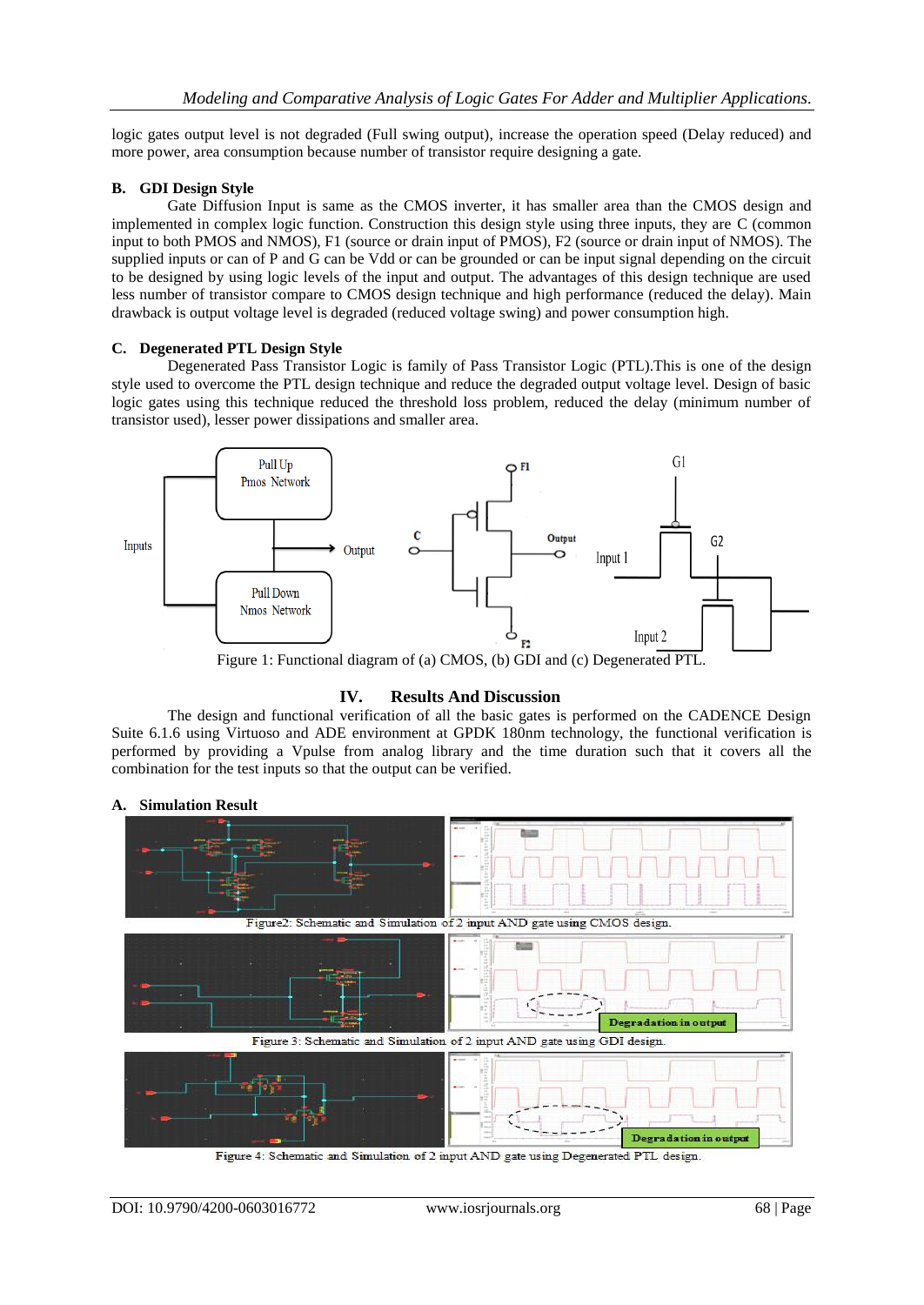logic gates output level is not degraded (Full swing output), increase the operation speed (Delay reduced) and more power, area consumption because number of transistor require designing a gate.

#### **B. GDI Design Style**

Gate Diffusion Input is same as the CMOS inverter, it has smaller area than the CMOS design and implemented in complex logic function. Construction this design style using three inputs, they are C (common input to both PMOS and NMOS), F1 (source or drain input of PMOS), F2 (source or drain input of NMOS). The supplied inputs or can of P and G can be Vdd or can be grounded or can be input signal depending on the circuit to be designed by using logic levels of the input and output. The advantages of this design technique are used less number of transistor compare to CMOS design technique and high performance (reduced the delay). Main drawback is output voltage level is degraded (reduced voltage swing) and power consumption high.

#### **C. Degenerated PTL Design Style**

Degenerated Pass Transistor Logic is family of Pass Transistor Logic (PTL).This is one of the design style used to overcome the PTL design technique and reduce the degraded output voltage level. Design of basic logic gates using this technique reduced the threshold loss problem, reduced the delay (minimum number of transistor used), lesser power dissipations and smaller area.



Figure 1: Functional diagram of (a) CMOS, (b) GDI and (c) Degenerated PTL.

#### **IV. Results And Discussion**

The design and functional verification of all the basic gates is performed on the CADENCE Design Suite 6.1.6 using Virtuoso and ADE environment at GPDK 180nm technology, the functional verification is performed by providing a Vpulse from analog library and the time duration such that it covers all the combination for the test inputs so that the output can be verified.



#### **A. Simulation Result**

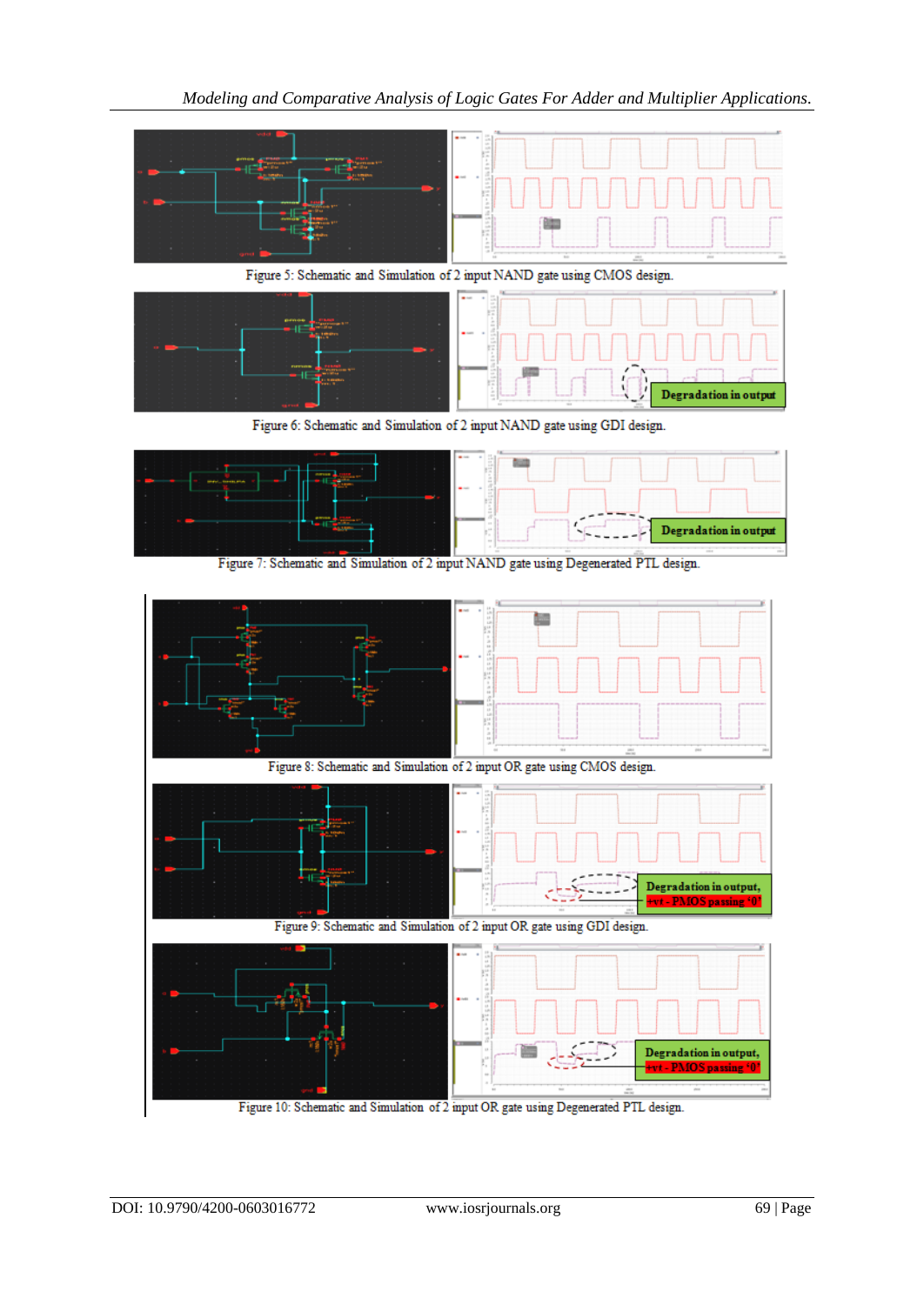

Figure 10: Schematic and Simulation of 2 input OR gate using Degenerated PTL design.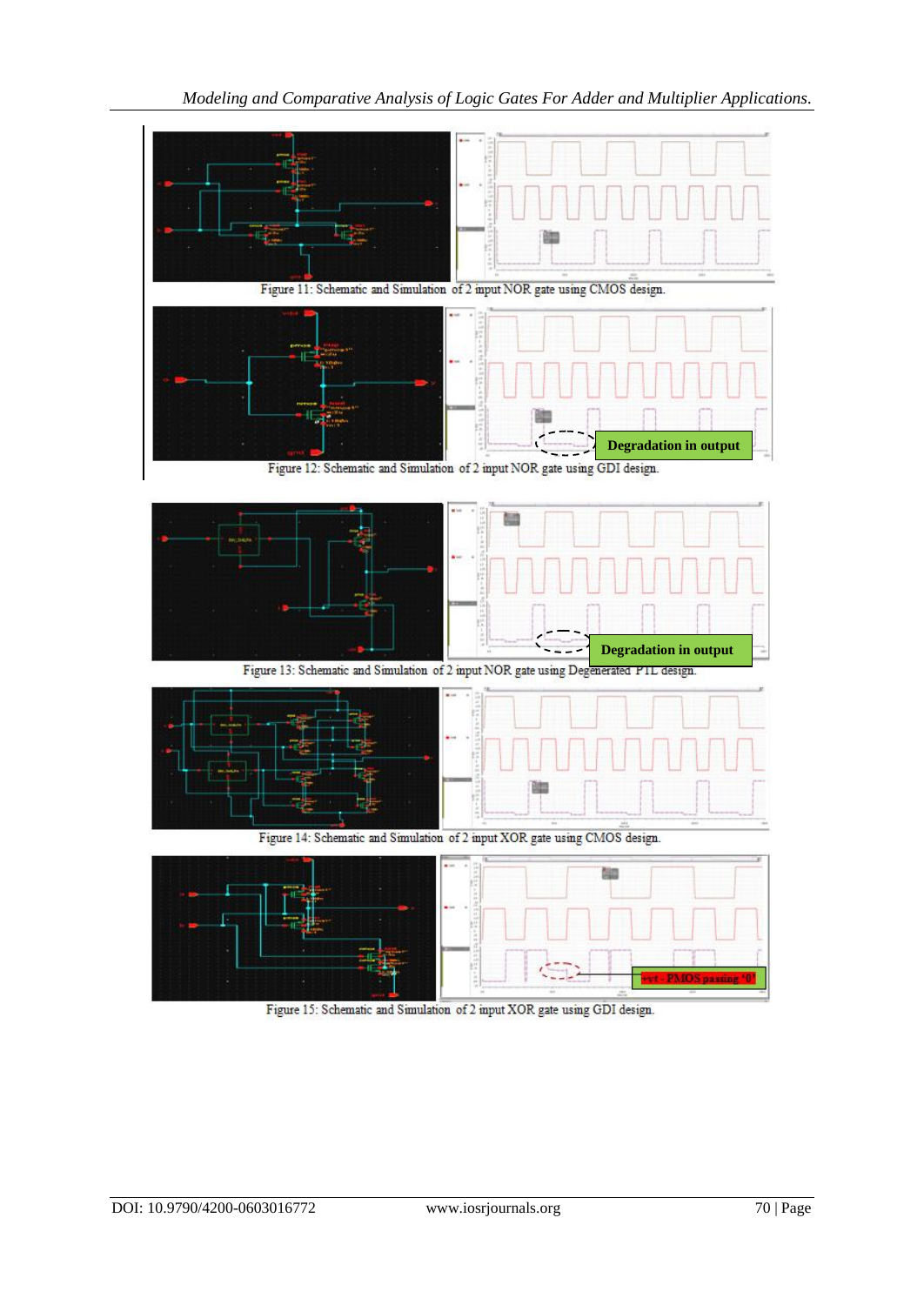

Figure 15: Schematic and Simulation of 2 input XOR gate using GDI design.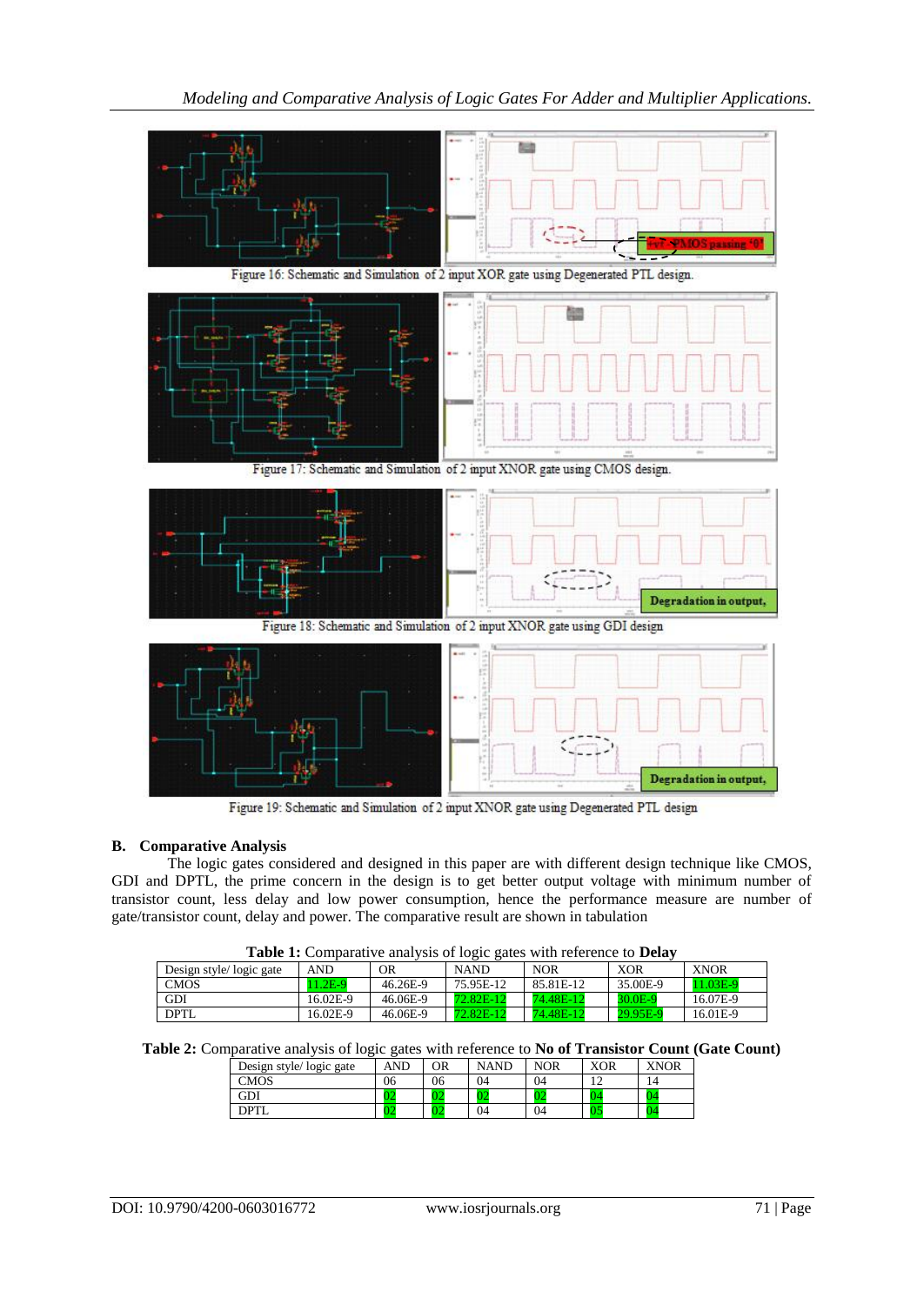

Figure 19: Schematic and Simulation of 2 input XNOR gate using Degenerated PTL design

# **B. Comparative Analysis**

The logic gates considered and designed in this paper are with different design technique like CMOS, GDI and DPTL, the prime concern in the design is to get better output voltage with minimum number of transistor count, less delay and low power consumption, hence the performance measure are number of gate/transistor count, delay and power. The comparative result are shown in tabulation

| <b>Table 1:</b> Comparative analysis of logic gates with reference to <b>Delay</b> |           |          |             |            |                     |             |  |  |  |
|------------------------------------------------------------------------------------|-----------|----------|-------------|------------|---------------------|-------------|--|--|--|
| Design style/logic gate                                                            | AND       | OR       | <b>NAND</b> | <b>NOR</b> | <b>XOR</b>          | <b>XNOR</b> |  |  |  |
| <b>CMOS</b>                                                                        | $11.2E-9$ | 46.26E-9 | 75.95E-12   | 85.81E-12  | 35.00E-9            | 11.03E-9    |  |  |  |
| GDI                                                                                | 16.02E-9  | 46.06E-9 | 72.82E-12   | 74.48E-12  | 30.0 <sub>E-9</sub> | 16.07E-9    |  |  |  |
| DPTL                                                                               | 16.02E-9  | 46.06E-9 | 72.82E-12   | 74.48E-12  | 29.95E-9            | 16.01E-9    |  |  |  |

**Table 1:** Comparative analysis of logic gates with reference to **Delay**

|  |  |  | Table 2: Comparative analysis of logic gates with reference to No of Transistor Count (Gate Count) |  |  |  |
|--|--|--|----------------------------------------------------------------------------------------------------|--|--|--|
|  |  |  |                                                                                                    |  |  |  |

| Design style/logic gate | AND | OR | NAND | NOR | XOR | <b>XNOR</b> |
|-------------------------|-----|----|------|-----|-----|-------------|
| CMOS                    | 06  | 06 | 04   | 04  |     | 14          |
| GDI                     |     | 74 |      | -02 |     |             |
| ודפרו                   | u   | JZ | 04   | 04  | UJ  |             |